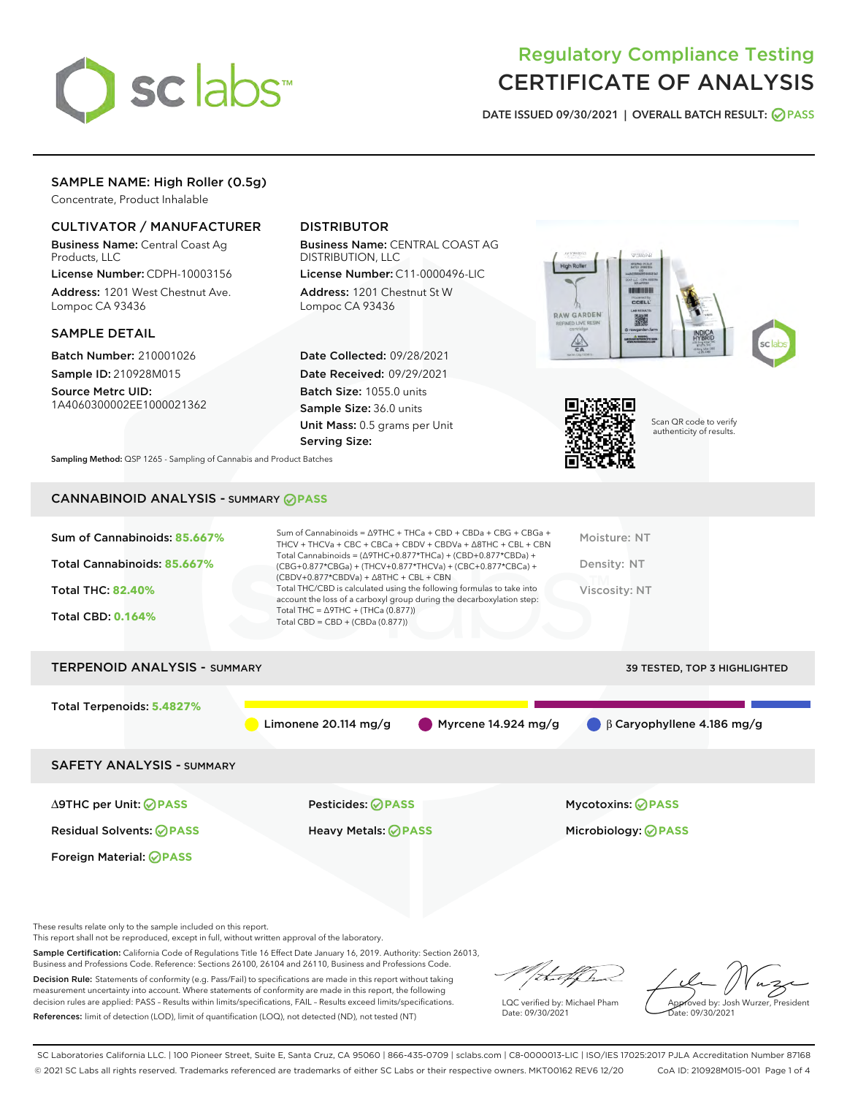

# Regulatory Compliance Testing CERTIFICATE OF ANALYSIS

DATE ISSUED 09/30/2021 | OVERALL BATCH RESULT: @ PASS

## SAMPLE NAME: High Roller (0.5g)

Concentrate, Product Inhalable

## CULTIVATOR / MANUFACTURER

Business Name: Central Coast Ag Products, LLC

License Number: CDPH-10003156 Address: 1201 West Chestnut Ave. Lompoc CA 93436

## SAMPLE DETAIL

Batch Number: 210001026 Sample ID: 210928M015

Source Metrc UID: 1A4060300002EE1000021362

## DISTRIBUTOR

Business Name: CENTRAL COAST AG DISTRIBUTION, LLC

License Number: C11-0000496-LIC Address: 1201 Chestnut St W Lompoc CA 93436

Date Collected: 09/28/2021 Date Received: 09/29/2021 Batch Size: 1055.0 units Sample Size: 36.0 units Unit Mass: 0.5 grams per Unit Serving Size:





Scan QR code to verify authenticity of results.

Sampling Method: QSP 1265 - Sampling of Cannabis and Product Batches

## CANNABINOID ANALYSIS - SUMMARY **PASS**

| Sum of Cannabinoids: 85.667%<br>Total Cannabinoids: 85.667%<br><b>Total THC: 82.40%</b><br><b>Total CBD: 0.164%</b> | Sum of Cannabinoids = $\triangle$ 9THC + THCa + CBD + CBDa + CBG + CBGa +<br>THCV + THCVa + CBC + CBCa + CBDV + CBDVa + $\Delta$ 8THC + CBL + CBN<br>Total Cannabinoids = $(\Delta$ 9THC+0.877*THCa) + (CBD+0.877*CBDa) +<br>(CBG+0.877*CBGa) + (THCV+0.877*THCVa) + (CBC+0.877*CBCa) +<br>$(CBDV+0.877*CBDVa) + \Delta 8THC + CBL + CBN$<br>Total THC/CBD is calculated using the following formulas to take into<br>account the loss of a carboxyl group during the decarboxylation step:<br>Total THC = $\triangle$ 9THC + (THCa (0.877))<br>Total CBD = $CBD + (CBDa (0.877))$ | Moisture: NT<br>Density: NT<br>Viscosity: NT |
|---------------------------------------------------------------------------------------------------------------------|------------------------------------------------------------------------------------------------------------------------------------------------------------------------------------------------------------------------------------------------------------------------------------------------------------------------------------------------------------------------------------------------------------------------------------------------------------------------------------------------------------------------------------------------------------------------------------|----------------------------------------------|
| <b>TERPENOID ANALYSIS - SUMMARY</b>                                                                                 |                                                                                                                                                                                                                                                                                                                                                                                                                                                                                                                                                                                    | 39 TESTED, TOP 3 HIGHLIGHTED                 |
|                                                                                                                     |                                                                                                                                                                                                                                                                                                                                                                                                                                                                                                                                                                                    |                                              |
| Total Terpenoids: 5.4827%                                                                                           | Limonene $20.114$ mg/g<br>Myrcene $14.924$ mg/g                                                                                                                                                                                                                                                                                                                                                                                                                                                                                                                                    | $\beta$ Caryophyllene 4.186 mg/g             |
| <b>SAFETY ANALYSIS - SUMMARY</b>                                                                                    |                                                                                                                                                                                                                                                                                                                                                                                                                                                                                                                                                                                    |                                              |
| ∆9THC per Unit: ⊘PASS                                                                                               | Pesticides: ⊘PASS                                                                                                                                                                                                                                                                                                                                                                                                                                                                                                                                                                  | <b>Mycotoxins: ⊘PASS</b>                     |
| <b>Residual Solvents: ⊘PASS</b>                                                                                     | Heavy Metals: <b>OPASS</b>                                                                                                                                                                                                                                                                                                                                                                                                                                                                                                                                                         | Microbiology: <b>⊘PASS</b>                   |
| Foreign Material: <b>⊘ PASS</b>                                                                                     |                                                                                                                                                                                                                                                                                                                                                                                                                                                                                                                                                                                    |                                              |

These results relate only to the sample included on this report.

This report shall not be reproduced, except in full, without written approval of the laboratory.

Sample Certification: California Code of Regulations Title 16 Effect Date January 16, 2019. Authority: Section 26013, Business and Professions Code. Reference: Sections 26100, 26104 and 26110, Business and Professions Code.

Decision Rule: Statements of conformity (e.g. Pass/Fail) to specifications are made in this report without taking measurement uncertainty into account. Where statements of conformity are made in this report, the following decision rules are applied: PASS – Results within limits/specifications, FAIL – Results exceed limits/specifications. References: limit of detection (LOD), limit of quantification (LOQ), not detected (ND), not tested (NT)

/ital/h

LQC verified by: Michael Pham Date: 09/30/2021

Approved by: Josh Wurzer, President ate: 09/30/2021

SC Laboratories California LLC. | 100 Pioneer Street, Suite E, Santa Cruz, CA 95060 | 866-435-0709 | sclabs.com | C8-0000013-LIC | ISO/IES 17025:2017 PJLA Accreditation Number 87168 © 2021 SC Labs all rights reserved. Trademarks referenced are trademarks of either SC Labs or their respective owners. MKT00162 REV6 12/20 CoA ID: 210928M015-001 Page 1 of 4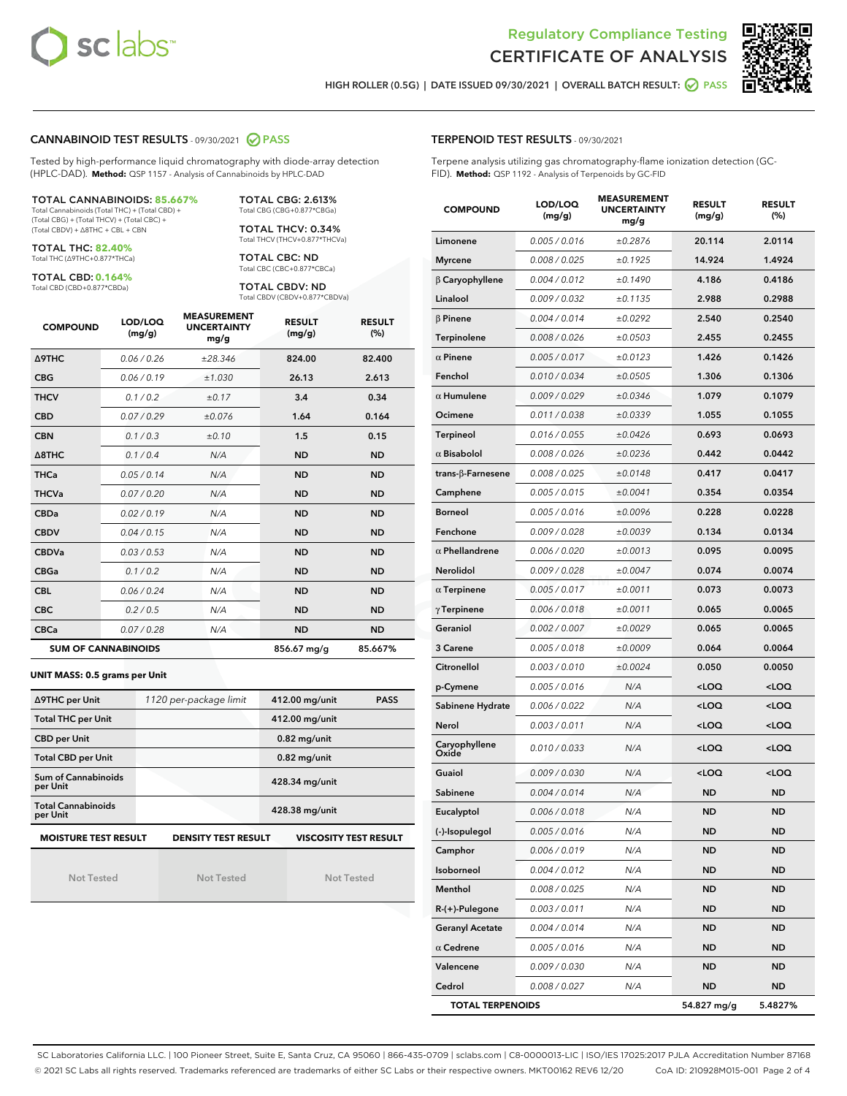



HIGH ROLLER (0.5G) | DATE ISSUED 09/30/2021 | OVERALL BATCH RESULT: **○** PASS

## CANNABINOID TEST RESULTS - 09/30/2021 2 PASS

Tested by high-performance liquid chromatography with diode-array detection (HPLC-DAD). **Method:** QSP 1157 - Analysis of Cannabinoids by HPLC-DAD

#### TOTAL CANNABINOIDS: **85.667%**

Total Cannabinoids (Total THC) + (Total CBD) + (Total CBG) + (Total THCV) + (Total CBC) + (Total CBDV) + ∆8THC + CBL + CBN

TOTAL THC: **82.40%** Total THC (∆9THC+0.877\*THCa)

TOTAL CBD: **0.164%**

Total CBD (CBD+0.877\*CBDa)

TOTAL CBG: 2.613% Total CBG (CBG+0.877\*CBGa)

TOTAL THCV: 0.34% Total THCV (THCV+0.877\*THCVa)

TOTAL CBC: ND Total CBC (CBC+0.877\*CBCa)

TOTAL CBDV: ND Total CBDV (CBDV+0.877\*CBDVa)

| <b>COMPOUND</b>  | LOD/LOQ<br>(mg/g)          | <b>MEASUREMENT</b><br><b>UNCERTAINTY</b><br>mg/g | <b>RESULT</b><br>(mg/g) | <b>RESULT</b><br>(%) |
|------------------|----------------------------|--------------------------------------------------|-------------------------|----------------------|
| <b>A9THC</b>     | 0.06 / 0.26                | ±28.346                                          | 824.00                  | 82.400               |
| <b>CBG</b>       | 0.06 / 0.19                | ±1.030                                           | 26.13                   | 2.613                |
| <b>THCV</b>      | 0.1 / 0.2                  | ±0.17                                            | 3.4                     | 0.34                 |
| <b>CBD</b>       | 0.07/0.29                  | ±0.076                                           | 1.64                    | 0.164                |
| <b>CBN</b>       | 0.1/0.3                    | ±0.10                                            | 1.5                     | 0.15                 |
| $\triangle$ 8THC | 0.1/0.4                    | N/A                                              | <b>ND</b>               | <b>ND</b>            |
| <b>THCa</b>      | 0.05/0.14                  | N/A                                              | <b>ND</b>               | <b>ND</b>            |
| <b>THCVa</b>     | 0.07/0.20                  | N/A                                              | <b>ND</b>               | <b>ND</b>            |
| <b>CBDa</b>      | 0.02/0.19                  | N/A                                              | <b>ND</b>               | <b>ND</b>            |
| <b>CBDV</b>      | 0.04/0.15                  | N/A                                              | <b>ND</b>               | <b>ND</b>            |
| <b>CBDVa</b>     | 0.03/0.53                  | N/A                                              | <b>ND</b>               | <b>ND</b>            |
| <b>CBGa</b>      | 0.1/0.2                    | N/A                                              | <b>ND</b>               | <b>ND</b>            |
| <b>CBL</b>       | 0.06 / 0.24                | N/A                                              | <b>ND</b>               | <b>ND</b>            |
| <b>CBC</b>       | 0.2 / 0.5                  | N/A                                              | <b>ND</b>               | <b>ND</b>            |
| <b>CBCa</b>      | 0.07 / 0.28                | N/A                                              | <b>ND</b>               | <b>ND</b>            |
|                  | <b>SUM OF CANNABINOIDS</b> |                                                  | 856.67 mg/g             | 85.667%              |

## **UNIT MASS: 0.5 grams per Unit**

| ∆9THC per Unit                        | 1120 per-package limit     | 412.00 mg/unit<br><b>PASS</b> |
|---------------------------------------|----------------------------|-------------------------------|
| <b>Total THC per Unit</b>             |                            | 412.00 mg/unit                |
| <b>CBD per Unit</b>                   |                            | $0.82$ mg/unit                |
| <b>Total CBD per Unit</b>             |                            | $0.82$ mg/unit                |
| Sum of Cannabinoids<br>per Unit       |                            | 428.34 mg/unit                |
| <b>Total Cannabinoids</b><br>per Unit |                            | 428.38 mg/unit                |
| <b>MOISTURE TEST RESULT</b>           | <b>DENSITY TEST RESULT</b> | <b>VISCOSITY TEST RESULT</b>  |

Not Tested

Not Tested

Not Tested

Terpene analysis utilizing gas chromatography-flame ionization detection (GC-FID). **Method:** QSP 1192 - Analysis of Terpenoids by GC-FID

| <b>COMPOUND</b>           | LOD/LOQ<br>(mg/g) | <b>MEASUREMENT</b><br><b>UNCERTAINTY</b><br>mg/g | <b>RESULT</b><br>(mg/g)                         | <b>RESULT</b><br>(%) |
|---------------------------|-------------------|--------------------------------------------------|-------------------------------------------------|----------------------|
| Limonene                  | 0.005 / 0.016     | ±0.2876                                          | 20.114                                          | 2.0114               |
| <b>Myrcene</b>            | 0.008 / 0.025     | ±0.1925                                          | 14.924                                          | 1.4924               |
| $\beta$ Caryophyllene     | 0.004 / 0.012     | ±0.1490                                          | 4.186                                           | 0.4186               |
| Linalool                  | 0.009 / 0.032     | ±0.1135                                          | 2.988                                           | 0.2988               |
| $\beta$ Pinene            | 0.004 / 0.014     | ±0.0292                                          | 2.540                                           | 0.2540               |
| Terpinolene               | 0.008 / 0.026     | ±0.0503                                          | 2.455                                           | 0.2455               |
| $\alpha$ Pinene           | 0.005 / 0.017     | ±0.0123                                          | 1.426                                           | 0.1426               |
| Fenchol                   | 0.010 / 0.034     | ±0.0505                                          | 1.306                                           | 0.1306               |
| $\alpha$ Humulene         | 0.009/0.029       | ±0.0346                                          | 1.079                                           | 0.1079               |
| Ocimene                   | 0.011 / 0.038     | ±0.0339                                          | 1.055                                           | 0.1055               |
| Terpineol                 | 0.016 / 0.055     | ±0.0426                                          | 0.693                                           | 0.0693               |
| $\alpha$ Bisabolol        | 0.008 / 0.026     | ±0.0236                                          | 0.442                                           | 0.0442               |
| trans- $\beta$ -Farnesene | 0.008 / 0.025     | ±0.0148                                          | 0.417                                           | 0.0417               |
| Camphene                  | 0.005 / 0.015     | ±0.0041                                          | 0.354                                           | 0.0354               |
| <b>Borneol</b>            | 0.005 / 0.016     | ±0.0096                                          | 0.228                                           | 0.0228               |
| Fenchone                  | 0.009 / 0.028     | ±0.0039                                          | 0.134                                           | 0.0134               |
| $\alpha$ Phellandrene     | 0.006 / 0.020     | ±0.0013                                          | 0.095                                           | 0.0095               |
| <b>Nerolidol</b>          | 0.009 / 0.028     | ±0.0047                                          | 0.074                                           | 0.0074               |
| $\alpha$ Terpinene        | 0.005 / 0.017     | ±0.0011                                          | 0.073                                           | 0.0073               |
| $\gamma$ Terpinene        | 0.006 / 0.018     | ±0.0011                                          | 0.065                                           | 0.0065               |
| Geraniol                  | 0.002 / 0.007     | ±0.0029                                          | 0.065                                           | 0.0065               |
| 3 Carene                  | 0.005 / 0.018     | ±0.0009                                          | 0.064                                           | 0.0064               |
| Citronellol               | 0.003 / 0.010     | ±0.0024                                          | 0.050                                           | 0.0050               |
| p-Cymene                  | 0.005 / 0.016     | N/A                                              | <loq< th=""><th><loq< th=""></loq<></th></loq<> | <loq< th=""></loq<>  |
| Sabinene Hydrate          | 0.006 / 0.022     | N/A                                              | <loq< th=""><th><loq< th=""></loq<></th></loq<> | <loq< th=""></loq<>  |
| Nerol                     | 0.003 / 0.011     | N/A                                              | <loq< th=""><th><loq< th=""></loq<></th></loq<> | <loq< th=""></loq<>  |
| Caryophyllene<br>Oxide    | 0.010 / 0.033     | N/A                                              | <loq< th=""><th><loq< th=""></loq<></th></loq<> | <loq< th=""></loq<>  |
| Guaiol                    | 0.009 / 0.030     | N/A                                              | <loq< th=""><th><loq< th=""></loq<></th></loq<> | <loq< th=""></loq<>  |
| Sabinene                  | 0.004 / 0.014     | N/A                                              | ND                                              | <b>ND</b>            |
| Eucalyptol                | 0.006 / 0.018     | N/A                                              | <b>ND</b>                                       | <b>ND</b>            |
| (-)-Isopulegol            | 0.005 / 0.016     | N/A                                              | ND                                              | <b>ND</b>            |
| Camphor                   | 0.006 / 0.019     | N/A                                              | ND                                              | ND                   |
| Isoborneol                | 0.004 / 0.012     | N/A                                              | ND                                              | <b>ND</b>            |
| Menthol                   | 0.008 / 0.025     | N/A                                              | <b>ND</b>                                       | <b>ND</b>            |
| R-(+)-Pulegone            | 0.003 / 0.011     | N/A                                              | ND                                              | ND                   |
| <b>Geranyl Acetate</b>    | 0.004 / 0.014     | N/A                                              | ND                                              | ND                   |
| $\alpha$ Cedrene          | 0.005 / 0.016     | N/A                                              | ND                                              | <b>ND</b>            |
| Valencene                 | 0.009 / 0.030     | N/A                                              | ND                                              | ND                   |
| Cedrol                    | 0.008 / 0.027     | N/A                                              | <b>ND</b>                                       | ND                   |
| <b>TOTAL TERPENOIDS</b>   |                   |                                                  | 54.827 mg/g                                     | 5.4827%              |

SC Laboratories California LLC. | 100 Pioneer Street, Suite E, Santa Cruz, CA 95060 | 866-435-0709 | sclabs.com | C8-0000013-LIC | ISO/IES 17025:2017 PJLA Accreditation Number 87168 © 2021 SC Labs all rights reserved. Trademarks referenced are trademarks of either SC Labs or their respective owners. MKT00162 REV6 12/20 CoA ID: 210928M015-001 Page 2 of 4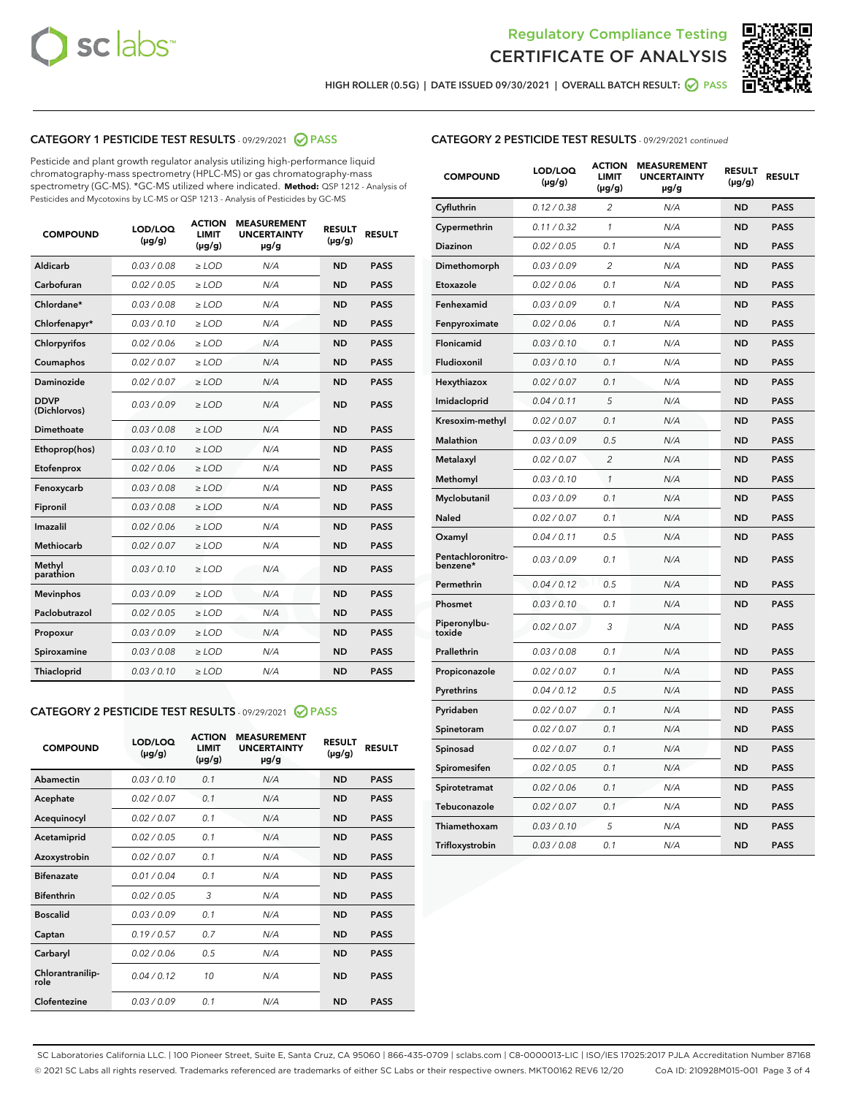



HIGH ROLLER (0.5G) | DATE ISSUED 09/30/2021 | OVERALL BATCH RESULT: ● PASS

## CATEGORY 1 PESTICIDE TEST RESULTS - 09/29/2021 2 PASS

Pesticide and plant growth regulator analysis utilizing high-performance liquid chromatography-mass spectrometry (HPLC-MS) or gas chromatography-mass spectrometry (GC-MS). \*GC-MS utilized where indicated. **Method:** QSP 1212 - Analysis of Pesticides and Mycotoxins by LC-MS or QSP 1213 - Analysis of Pesticides by GC-MS

| <b>COMPOUND</b>             | LOD/LOQ<br>$(\mu g/g)$ | <b>ACTION</b><br><b>LIMIT</b><br>$(\mu g/g)$ | <b>MEASUREMENT</b><br><b>UNCERTAINTY</b><br>$\mu$ g/g | <b>RESULT</b><br>$(\mu g/g)$ | <b>RESULT</b> |
|-----------------------------|------------------------|----------------------------------------------|-------------------------------------------------------|------------------------------|---------------|
| Aldicarb                    | 0.03/0.08              | $>$ LOD                                      | N/A                                                   | <b>ND</b>                    | <b>PASS</b>   |
| Carbofuran                  | 0.02 / 0.05            | $\geq$ LOD                                   | N/A                                                   | <b>ND</b>                    | <b>PASS</b>   |
| Chlordane*                  | 0.03/0.08              | $>$ LOD                                      | N/A                                                   | <b>ND</b>                    | <b>PASS</b>   |
| Chlorfenapyr*               | 0.03/0.10              | $\geq$ LOD                                   | N/A                                                   | <b>ND</b>                    | <b>PASS</b>   |
| Chlorpyrifos                | 0.02 / 0.06            | $\geq$ LOD                                   | N/A                                                   | <b>ND</b>                    | <b>PASS</b>   |
| Coumaphos                   | 0.02 / 0.07            | $\ge$ LOD                                    | N/A                                                   | <b>ND</b>                    | <b>PASS</b>   |
| Daminozide                  | 0.02 / 0.07            | $\ge$ LOD                                    | N/A                                                   | <b>ND</b>                    | <b>PASS</b>   |
| <b>DDVP</b><br>(Dichlorvos) | 0.03/0.09              | $\ge$ LOD                                    | N/A                                                   | <b>ND</b>                    | <b>PASS</b>   |
| <b>Dimethoate</b>           | 0.03/0.08              | $\ge$ LOD                                    | N/A                                                   | <b>ND</b>                    | <b>PASS</b>   |
| Ethoprop(hos)               | 0.03/0.10              | $\ge$ LOD                                    | N/A                                                   | <b>ND</b>                    | <b>PASS</b>   |
| Etofenprox                  | 0.02 / 0.06            | $\ge$ LOD                                    | N/A                                                   | <b>ND</b>                    | <b>PASS</b>   |
| Fenoxycarb                  | 0.03/0.08              | $\ge$ LOD                                    | N/A                                                   | <b>ND</b>                    | <b>PASS</b>   |
| Fipronil                    | 0.03/0.08              | $>$ LOD                                      | N/A                                                   | <b>ND</b>                    | <b>PASS</b>   |
| Imazalil                    | 0.02 / 0.06            | $>$ LOD                                      | N/A                                                   | <b>ND</b>                    | <b>PASS</b>   |
| <b>Methiocarb</b>           | 0.02 / 0.07            | $\ge$ LOD                                    | N/A                                                   | <b>ND</b>                    | <b>PASS</b>   |
| Methyl<br>parathion         | 0.03/0.10              | $\ge$ LOD                                    | N/A                                                   | <b>ND</b>                    | <b>PASS</b>   |
| <b>Mevinphos</b>            | 0.03/0.09              | $\ge$ LOD                                    | N/A                                                   | <b>ND</b>                    | <b>PASS</b>   |
| Paclobutrazol               | 0.02 / 0.05            | $>$ LOD                                      | N/A                                                   | <b>ND</b>                    | <b>PASS</b>   |
| Propoxur                    | 0.03/0.09              | $\ge$ LOD                                    | N/A                                                   | <b>ND</b>                    | <b>PASS</b>   |
| Spiroxamine                 | 0.03/0.08              | $\ge$ LOD                                    | N/A                                                   | <b>ND</b>                    | <b>PASS</b>   |
| Thiacloprid                 | 0.03/0.10              | $\ge$ LOD                                    | N/A                                                   | <b>ND</b>                    | <b>PASS</b>   |
|                             |                        |                                              |                                                       |                              |               |

## CATEGORY 2 PESTICIDE TEST RESULTS - 09/29/2021 @ PASS

| <b>COMPOUND</b>          | LOD/LOO<br>$(\mu g/g)$ | <b>ACTION</b><br>LIMIT<br>$(\mu g/g)$ | <b>MEASUREMENT</b><br><b>UNCERTAINTY</b><br>µg/g | <b>RESULT</b><br>$(\mu g/g)$ | <b>RESULT</b> |  |
|--------------------------|------------------------|---------------------------------------|--------------------------------------------------|------------------------------|---------------|--|
| Abamectin                | 0.03/0.10              | 0.1                                   | N/A                                              | <b>ND</b>                    | <b>PASS</b>   |  |
| Acephate                 | 0.02/0.07              | 0.1                                   | N/A                                              | <b>ND</b>                    | <b>PASS</b>   |  |
| Acequinocyl              | 0.02/0.07              | 0.1                                   | N/A                                              | <b>ND</b>                    | <b>PASS</b>   |  |
| Acetamiprid              | 0.02 / 0.05            | 0.1                                   | N/A                                              | <b>ND</b>                    | <b>PASS</b>   |  |
| Azoxystrobin             | 0.02/0.07              | 0.1                                   | N/A                                              | <b>ND</b>                    | <b>PASS</b>   |  |
| <b>Bifenazate</b>        | 0.01 / 0.04            | 0.1                                   | N/A                                              | <b>ND</b>                    | <b>PASS</b>   |  |
| <b>Bifenthrin</b>        | 0.02 / 0.05            | 3                                     | N/A                                              | <b>ND</b>                    | <b>PASS</b>   |  |
| <b>Boscalid</b>          | 0.03/0.09              | 0.1                                   | N/A                                              | <b>ND</b>                    | <b>PASS</b>   |  |
| Captan                   | 0.19/0.57              | 0.7                                   | N/A                                              | <b>ND</b>                    | <b>PASS</b>   |  |
| Carbaryl                 | 0.02/0.06              | 0.5                                   | N/A                                              | <b>ND</b>                    | <b>PASS</b>   |  |
| Chlorantranilip-<br>role | 0.04/0.12              | 10                                    | N/A                                              | <b>ND</b>                    | <b>PASS</b>   |  |
| Clofentezine             | 0.03/0.09              | 0.1                                   | N/A                                              | <b>ND</b>                    | <b>PASS</b>   |  |

| <b>CATEGORY 2 PESTICIDE TEST RESULTS</b> - 09/29/2021 continued |  |
|-----------------------------------------------------------------|--|
|-----------------------------------------------------------------|--|

| <b>COMPOUND</b>               | LOD/LOQ<br>(µg/g) | <b>ACTION</b><br>LIMIT<br>$(\mu g/g)$ | <b>MEASUREMENT</b><br><b>UNCERTAINTY</b><br>µg/g | <b>RESULT</b><br>(µg/g) | <b>RESULT</b> |
|-------------------------------|-------------------|---------------------------------------|--------------------------------------------------|-------------------------|---------------|
| Cyfluthrin                    | 0.12 / 0.38       | 2                                     | N/A                                              | <b>ND</b>               | <b>PASS</b>   |
| Cypermethrin                  | 0.11 / 0.32       | $\mathcal{I}$                         | N/A                                              | <b>ND</b>               | <b>PASS</b>   |
| Diazinon                      | 0.02 / 0.05       | 0.1                                   | N/A                                              | <b>ND</b>               | <b>PASS</b>   |
| Dimethomorph                  | 0.03 / 0.09       | 2                                     | N/A                                              | <b>ND</b>               | <b>PASS</b>   |
| Etoxazole                     | 0.02 / 0.06       | 0.1                                   | N/A                                              | <b>ND</b>               | <b>PASS</b>   |
| Fenhexamid                    | 0.03 / 0.09       | 0.1                                   | N/A                                              | <b>ND</b>               | <b>PASS</b>   |
| Fenpyroximate                 | 0.02 / 0.06       | 0.1                                   | N/A                                              | <b>ND</b>               | <b>PASS</b>   |
| Flonicamid                    | 0.03 / 0.10       | 0.1                                   | N/A                                              | <b>ND</b>               | <b>PASS</b>   |
| Fludioxonil                   | 0.03 / 0.10       | 0.1                                   | N/A                                              | <b>ND</b>               | <b>PASS</b>   |
| Hexythiazox                   | 0.02 / 0.07       | 0.1                                   | N/A                                              | <b>ND</b>               | <b>PASS</b>   |
| Imidacloprid                  | 0.04 / 0.11       | 5                                     | N/A                                              | <b>ND</b>               | <b>PASS</b>   |
| Kresoxim-methyl               | 0.02 / 0.07       | 0.1                                   | N/A                                              | <b>ND</b>               | <b>PASS</b>   |
| Malathion                     | 0.03 / 0.09       | 0.5                                   | N/A                                              | <b>ND</b>               | <b>PASS</b>   |
| Metalaxyl                     | 0.02 / 0.07       | $\overline{c}$                        | N/A                                              | <b>ND</b>               | <b>PASS</b>   |
| Methomyl                      | 0.03 / 0.10       | $\mathcal{I}$                         | N/A                                              | <b>ND</b>               | <b>PASS</b>   |
| Myclobutanil                  | 0.03 / 0.09       | 0.1                                   | N/A                                              | <b>ND</b>               | <b>PASS</b>   |
| Naled                         | 0.02 / 0.07       | 0.1                                   | N/A                                              | <b>ND</b>               | <b>PASS</b>   |
| Oxamyl                        | 0.04 / 0.11       | 0.5                                   | N/A                                              | <b>ND</b>               | <b>PASS</b>   |
| Pentachloronitro-<br>benzene* | 0.03/0.09         | 0.1                                   | N/A                                              | <b>ND</b>               | <b>PASS</b>   |
| Permethrin                    | 0.04 / 0.12       | 0.5                                   | N/A                                              | <b>ND</b>               | <b>PASS</b>   |
| Phosmet                       | 0.03 / 0.10       | 0.1                                   | N/A                                              | <b>ND</b>               | <b>PASS</b>   |
| Piperonylbu-<br>toxide        | 0.02 / 0.07       | 3                                     | N/A                                              | <b>ND</b>               | <b>PASS</b>   |
| Prallethrin                   | 0.03 / 0.08       | 0.1                                   | N/A                                              | <b>ND</b>               | <b>PASS</b>   |
| Propiconazole                 | 0.02 / 0.07       | 0.1                                   | N/A                                              | <b>ND</b>               | <b>PASS</b>   |
| Pyrethrins                    | 0.04 / 0.12       | 0.5                                   | N/A                                              | <b>ND</b>               | <b>PASS</b>   |
| Pyridaben                     | 0.02 / 0.07       | 0.1                                   | N/A                                              | <b>ND</b>               | <b>PASS</b>   |
| Spinetoram                    | 0.02 / 0.07       | 0.1                                   | N/A                                              | <b>ND</b>               | <b>PASS</b>   |
| Spinosad                      | 0.02 / 0.07       | 0.1                                   | N/A                                              | <b>ND</b>               | <b>PASS</b>   |
| Spiromesifen                  | 0.02 / 0.05       | 0.1                                   | N/A                                              | <b>ND</b>               | <b>PASS</b>   |
| Spirotetramat                 | 0.02 / 0.06       | 0.1                                   | N/A                                              | <b>ND</b>               | <b>PASS</b>   |
| Tebuconazole                  | 0.02 / 0.07       | 0.1                                   | N/A                                              | <b>ND</b>               | <b>PASS</b>   |
| Thiamethoxam                  | 0.03 / 0.10       | 5                                     | N/A                                              | <b>ND</b>               | <b>PASS</b>   |
| Trifloxystrobin               | 0.03 / 0.08       | 0.1                                   | N/A                                              | <b>ND</b>               | <b>PASS</b>   |

SC Laboratories California LLC. | 100 Pioneer Street, Suite E, Santa Cruz, CA 95060 | 866-435-0709 | sclabs.com | C8-0000013-LIC | ISO/IES 17025:2017 PJLA Accreditation Number 87168 © 2021 SC Labs all rights reserved. Trademarks referenced are trademarks of either SC Labs or their respective owners. MKT00162 REV6 12/20 CoA ID: 210928M015-001 Page 3 of 4